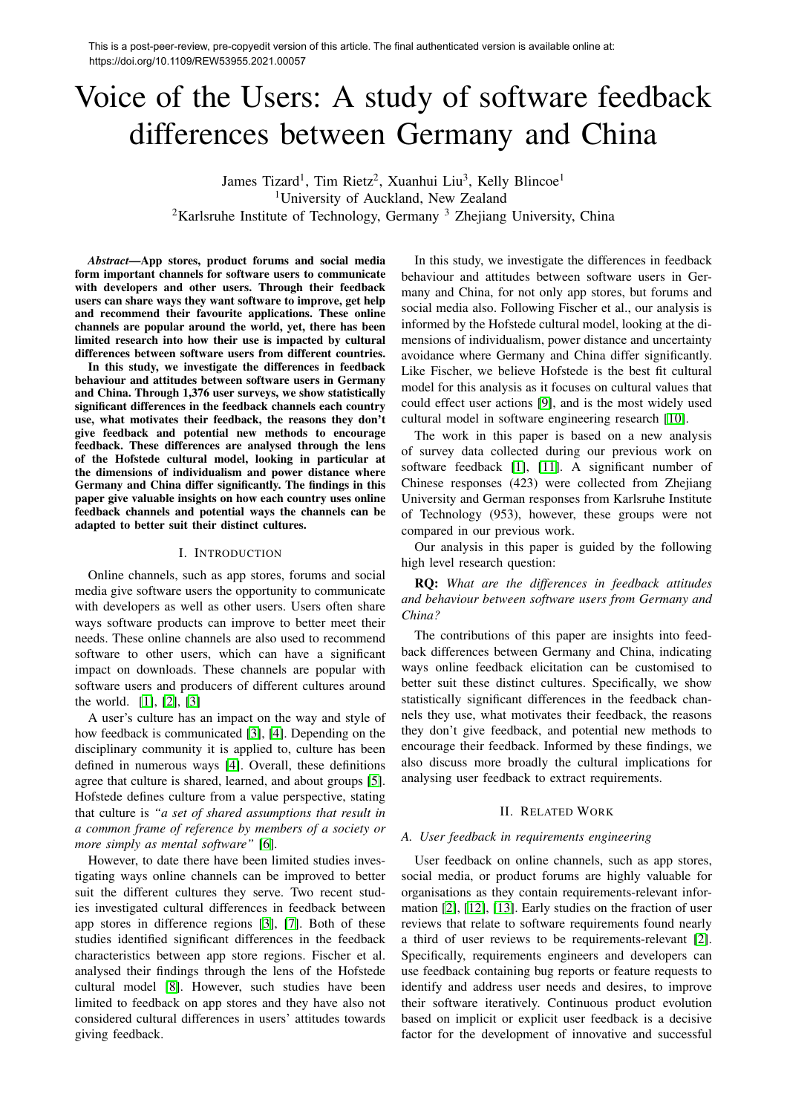# Voice of the Users: A study of software feedback differences between Germany and China

James Tizard<sup>1</sup>, Tim Rietz<sup>2</sup>, Xuanhui Liu<sup>3</sup>, Kelly Blincoe<sup>1</sup> <sup>1</sup>University of Auckland, New Zealand <sup>2</sup>Karlsruhe Institute of Technology, Germany  $3$  Zhejiang University, China

*Abstract*—App stores, product forums and social media form important channels for software users to communicate with developers and other users. Through their feedback users can share ways they want software to improve, get help and recommend their favourite applications. These online channels are popular around the world, yet, there has been limited research into how their use is impacted by cultural differences between software users from different countries.

In this study, we investigate the differences in feedback behaviour and attitudes between software users in Germany and China. Through 1,376 user surveys, we show statistically significant differences in the feedback channels each country use, what motivates their feedback, the reasons they don't give feedback and potential new methods to encourage feedback. These differences are analysed through the lens of the Hofstede cultural model, looking in particular at the dimensions of individualism and power distance where Germany and China differ significantly. The findings in this paper give valuable insights on how each country uses online feedback channels and potential ways the channels can be adapted to better suit their distinct cultures.

#### I. INTRODUCTION

Online channels, such as app stores, forums and social media give software users the opportunity to communicate with developers as well as other users. Users often share ways software products can improve to better meet their needs. These online channels are also used to recommend software to other users, which can have a significant impact on downloads. These channels are popular with software users and producers of different cultures around the world.  $[1], [2], [3]$ 

A user's culture has an impact on the way and style of how feedback is communicated  $[3]$ ,  $[4]$ . Depending on the disciplinary community it is applied to, culture has been defined in numerous ways  $[4]$ . Overall, these definitions agree that culture is shared, learned, and about groups  $[5]$ . Hofstede defines culture from a value perspective, stating that culture is *"a set of shared assumptions that result in a common frame of reference by members of a society or more simply as mental software"* [6].

However, to date there have been limited studies investigating ways online channels can be improved to better suit the different cultures they serve. Two recent studies investigated cultural differences in feedback between app stores in difference regions  $\overline{3}$ ,  $\overline{7}$ . Both of these studies identified significant differences in the feedback characteristics between app store regions. Fischer et al. analysed their findings through the lens of the Hofstede cultural model [8]. However, such studies have been limited to feedback on app stores and they have also not considered cultural differences in users' attitudes towards giving feedback.

In this study, we investigate the differences in feedback behaviour and attitudes between software users in Germany and China, for not only app stores, but forums and social media also. Following Fischer et al., our analysis is informed by the Hofstede cultural model, looking at the dimensions of individualism, power distance and uncertainty avoidance where Germany and China differ significantly. Like Fischer, we believe Hofstede is the best fit cultural model for this analysis as it focuses on cultural values that could effect user actions  $[9]$ , and is the most widely used cultural model in software engineering research [10].

The work in this paper is based on a new analysis of survey data collected during our previous work on software feedback  $[1]$ ,  $[11]$ . A significant number of Chinese responses (423) were collected from Zhejiang University and German responses from Karlsruhe Institute of Technology (953), however, these groups were not compared in our previous work.

Our analysis in this paper is guided by the following high level research question:

RQ: *What are the differences in feedback attitudes and behaviour between software users from Germany and China?*

The contributions of this paper are insights into feedback differences between Germany and China, indicating ways online feedback elicitation can be customised to better suit these distinct cultures. Specifically, we show statistically significant differences in the feedback channels they use, what motivates their feedback, the reasons they don't give feedback, and potential new methods to encourage their feedback. Informed by these findings, we also discuss more broadly the cultural implications for analysing user feedback to extract requirements.

#### II. RELATED WORK

#### *A. User feedback in requirements engineering*

User feedback on online channels, such as app stores, social media, or product forums are highly valuable for organisations as they contain requirements-relevant information  $\boxed{2}$ ,  $\boxed{12}$ ,  $\boxed{13}$ . Early studies on the fraction of user reviews that relate to software requirements found nearly a third of user reviews to be requirements-relevant  $\boxed{2}$ . Specifically, requirements engineers and developers can use feedback containing bug reports or feature requests to identify and address user needs and desires, to improve their software iteratively. Continuous product evolution based on implicit or explicit user feedback is a decisive factor for the development of innovative and successful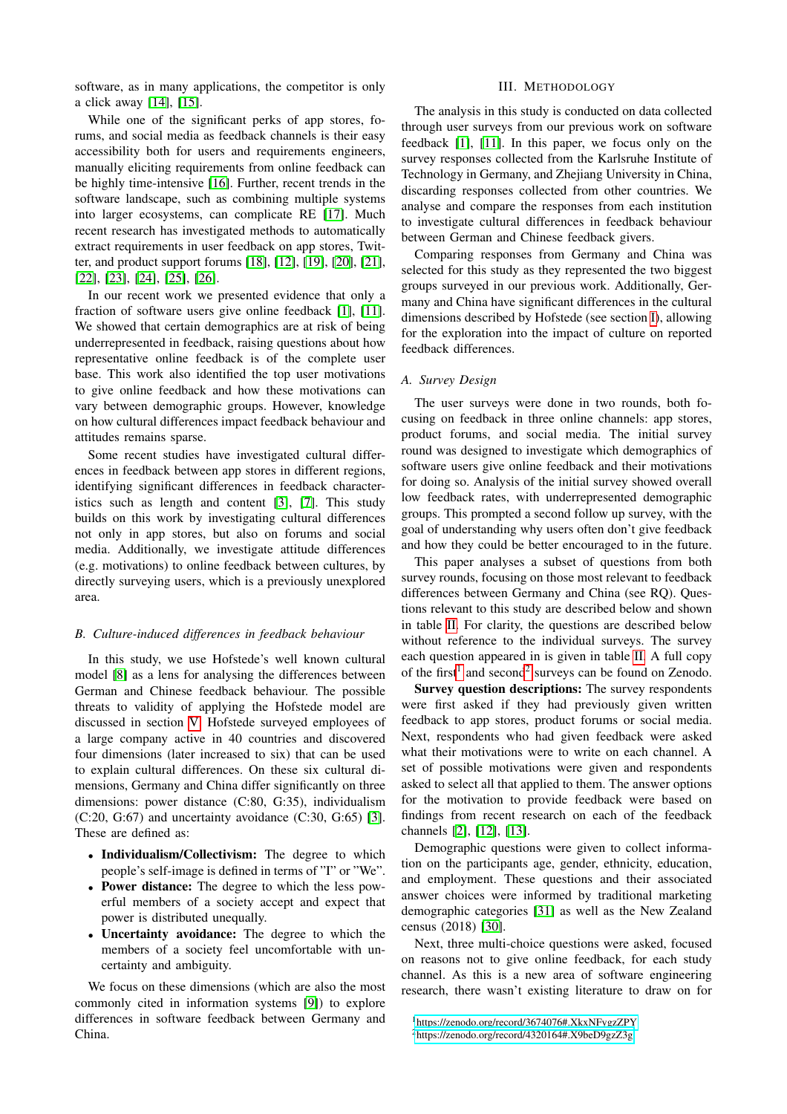software, as in many applications, the competitor is only a click away  $[14]$ ,  $[15]$ .

While one of the significant perks of app stores, forums, and social media as feedback channels is their easy accessibility both for users and requirements engineers, manually eliciting requirements from online feedback can be highly time-intensive [16]. Further, recent trends in the software landscape, such as combining multiple systems into larger ecosystems, can complicate RE [17]. Much recent research has investigated methods to automatically extract requirements in user feedback on app stores, Twitter, and product support forums [18], [12], [19], [20], [21], [22], [23], [24], [25], [26].

In our recent work we presented evidence that only a fraction of software users give online feedback  $[1]$ ,  $[11]$ . We showed that certain demographics are at risk of being underrepresented in feedback, raising questions about how representative online feedback is of the complete user base. This work also identified the top user motivations to give online feedback and how these motivations can vary between demographic groups. However, knowledge on how cultural differences impact feedback behaviour and attitudes remains sparse.

Some recent studies have investigated cultural differences in feedback between app stores in different regions, identifying significant differences in feedback characteristics such as length and content  $[3]$ ,  $[7]$ . This study builds on this work by investigating cultural differences not only in app stores, but also on forums and social media. Additionally, we investigate attitude differences (e.g. motivations) to online feedback between cultures, by directly surveying users, which is a previously unexplored area.

# *B. Culture-induced differences in feedback behaviour*

In this study, we use Hofstede's well known cultural model [8] as a lens for analysing the differences between German and Chinese feedback behaviour. The possible threats to validity of applying the Hofstede model are discussed in section  $\overline{V}$ . Hofstede surveyed employees of a large company active in 40 countries and discovered four dimensions (later increased to six) that can be used to explain cultural differences. On these six cultural dimensions, Germany and China differ significantly on three dimensions: power distance (C:80, G:35), individualism  $(C:20, G:67)$  and uncertainty avoidance  $(C:30, G:65)$  [3]. These are defined as:

- Individualism/Collectivism: The degree to which people's self-image is defined in terms of "I" or "We".
- Power distance: The degree to which the less powerful members of a society accept and expect that power is distributed unequally.
- *•* Uncertainty avoidance: The degree to which the members of a society feel uncomfortable with uncertainty and ambiguity.

We focus on these dimensions (which are also the most commonly cited in information systems  $[9]$ ) to explore differences in software feedback between Germany and China.

# III. METHODOLOGY

The analysis in this study is conducted on data collected through user surveys from our previous work on software feedback  $\begin{bmatrix} 1 \\ 0 \end{bmatrix}$ ,  $\begin{bmatrix} 1 \\ 1 \end{bmatrix}$ . In this paper, we focus only on the survey responses collected from the Karlsruhe Institute of Technology in Germany, and Zheijang University in China, discarding responses collected from other countries. We analyse and compare the responses from each institution to investigate cultural differences in feedback behaviour between German and Chinese feedback givers.

Comparing responses from Germany and China was selected for this study as they represented the two biggest groups surveyed in our previous work. Additionally, Germany and China have significant differences in the cultural dimensions described by Hofstede (see section  $\overline{I}$ ), allowing for the exploration into the impact of culture on reported feedback differences.

## *A. Survey Design*

The user surveys were done in two rounds, both focusing on feedback in three online channels: app stores, product forums, and social media. The initial survey round was designed to investigate which demographics of software users give online feedback and their motivations for doing so. Analysis of the initial survey showed overall low feedback rates, with underrepresented demographic groups. This prompted a second follow up survey, with the goal of understanding why users often don't give feedback and how they could be better encouraged to in the future.

This paper analyses a subset of questions from both survey rounds, focusing on those most relevant to feedback differences between Germany and China (see RQ). Questions relevant to this study are described below and shown in table  $\overline{II}$ . For clarity, the questions are described below without reference to the individual surveys. The survey each question appeared in is given in table  $\overline{II}$ . A full copy of the first<sup>1</sup> and second<sup>2</sup> surveys can be found on Zenodo.

Survey question descriptions: The survey respondents were first asked if they had previously given written feedback to app stores, product forums or social media. Next, respondents who had given feedback were asked what their motivations were to write on each channel. A set of possible motivations were given and respondents asked to select all that applied to them. The answer options for the motivation to provide feedback were based on findings from recent research on each of the feedback channels  $[2]$ ,  $[12]$ ,  $[13]$ .

Demographic questions were given to collect information on the participants age, gender, ethnicity, education, and employment. These questions and their associated answer choices were informed by traditional marketing demographic categories [31] as well as the New Zealand census  $(2018)$   $|30|$ .

Next, three multi-choice questions were asked, focused on reasons not to give online feedback, for each study channel. As this is a new area of software engineering research, there wasn't existing literature to draw on for

<sup>1</sup>https://zenodo.org/record/3674076#.XkxNFygzZPY 2https://zenodo.org/record/4320164#.X9beD9gzZ3g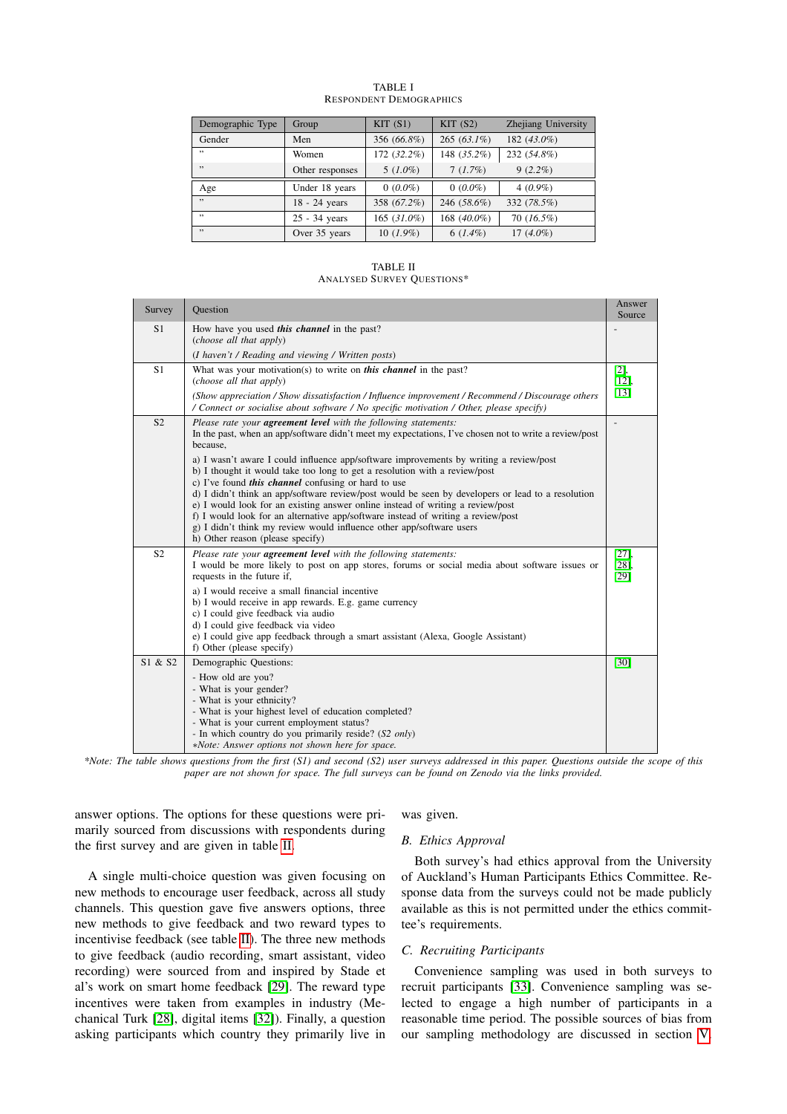| Demographic Type | Group           | KIT(S1)        | KIT(S2)       | Zhejiang University |
|------------------|-----------------|----------------|---------------|---------------------|
| Gender           | Men             | 356 (66.8%)    | $265(63.1\%)$ | 182 $(43.0\%)$      |
| , ,              | Women           | 172 (32.2%)    | 148 (35.2%)   | 232 (54.8%)         |
| , ,              | Other responses | $5(1.0\%)$     | $7(1.7\%)$    | $9(2.2\%)$          |
| Age              | Under 18 years  | $0(0.0\%)$     | $0(0.0\%)$    | $4(0.9\%)$          |
| , ,              | 18 - 24 years   | 358 (67.2%)    | 246 (58.6%)   | 332 (78.5%)         |
| , ,              | 25 - 34 years   | 165 $(31.0\%)$ | 168 (40.0%)   | $70(16.5\%)$        |
| , ,              | Over 35 years   | $10(1.9\%)$    | $6(1.4\%)$    | $17(4.0\%)$         |

#### TABLE I RESPONDENT DEMOGRAPHICS

TABLE II ANALYSED SURVEY QUESTIONS\*

| Survey         | <b>Ouestion</b>                                                                                                                                                                                                                                                                                                                         | Answer<br>Source           |
|----------------|-----------------------------------------------------------------------------------------------------------------------------------------------------------------------------------------------------------------------------------------------------------------------------------------------------------------------------------------|----------------------------|
| S <sub>1</sub> | How have you used this channel in the past?<br>(choose all that apply)                                                                                                                                                                                                                                                                  |                            |
|                | (I haven't / Reading and viewing / Written posts)                                                                                                                                                                                                                                                                                       |                            |
| S <sub>1</sub> | What was your motivation(s) to write on <i>this channel</i> in the past?<br>(choose all that apply)                                                                                                                                                                                                                                     | $\frac{[2]}{12]}$          |
|                | (Show appreciation / Show dissatisfaction / Influence improvement / Recommend / Discourage others<br>/ Connect or socialise about software / No specific motivation / Other, please specify)                                                                                                                                            | $\boxed{13}$               |
| S <sub>2</sub> | Please rate your <b>agreement level</b> with the following statements:<br>In the past, when an app/software didn't meet my expectations, I've chosen not to write a review/post<br>because,                                                                                                                                             |                            |
|                | a) I wasn't aware I could influence app/software improvements by writing a review/post<br>b) I thought it would take too long to get a resolution with a review/post<br>c) I've found <i>this channel</i> confusing or hard to use<br>d) I didn't think an app/software review/post would be seen by developers or lead to a resolution |                            |
|                | e) I would look for an existing answer online instead of writing a review/post<br>f) I would look for an alternative app/software instead of writing a review/post<br>g) I didn't think my review would influence other app/software users<br>h) Other reason (please specify)                                                          |                            |
| S <sub>2</sub> | Please rate your <b>agreement level</b> with the following statements:<br>I would be more likely to post on app stores, forums or social media about software issues or<br>requests in the future if,                                                                                                                                   | [27]<br>281<br>$\sqrt{29}$ |
|                | a) I would receive a small financial incentive<br>b) I would receive in app rewards. E.g. game currency<br>c) I could give feedback via audio<br>d) I could give feedback via video                                                                                                                                                     |                            |
|                | e) I could give app feedback through a smart assistant (Alexa, Google Assistant)<br>f) Other (please specify)                                                                                                                                                                                                                           |                            |
| S1 & S2        | Demographic Questions:                                                                                                                                                                                                                                                                                                                  | $\left[30\right]$          |
|                | - How old are you?<br>- What is your gender?<br>- What is your ethnicity?<br>- What is your highest level of education completed?                                                                                                                                                                                                       |                            |
|                | - What is your current employment status?<br>- In which country do you primarily reside? (S2 only)<br>*Note: Answer options not shown here for space.                                                                                                                                                                                   |                            |

*\*Note: The table shows questions from the first (S1) and second (S2) user surveys addressed in this paper. Questions outside the scope of this paper are not shown for space. The full surveys can be found on Zenodo via the links provided.*

answer options. The options for these questions were primarily sourced from discussions with respondents during the first survey and are given in table  $\Pi$ .

was given.

# *B. Ethics Approval*

A single multi-choice question was given focusing on new methods to encourage user feedback, across all study channels. This question gave five answers options, three new methods to give feedback and two reward types to incentivise feedback (see table  $\overline{II}$ ). The three new methods to give feedback (audio recording, smart assistant, video recording) were sourced from and inspired by Stade et al's work on smart home feedback [29]. The reward type incentives were taken from examples in industry (Mechanical Turk [28], digital items [32]). Finally, a question asking participants which country they primarily live in

Both survey's had ethics approval from the University of Auckland's Human Participants Ethics Committee. Response data from the surveys could not be made publicly available as this is not permitted under the ethics committee's requirements.

## *C. Recruiting Participants*

Convenience sampling was used in both surveys to recruit participants [33]. Convenience sampling was selected to engage a high number of participants in a reasonable time period. The possible sources of bias from our sampling methodology are discussed in section  $\nabla$ .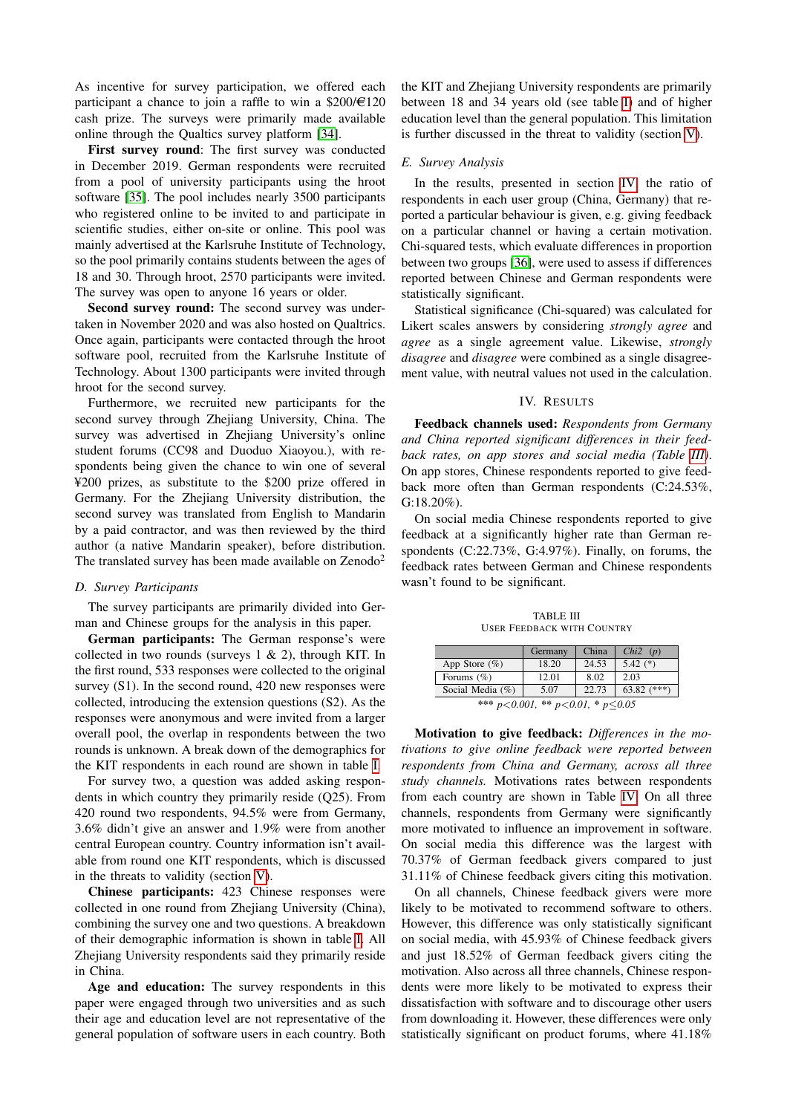As incentive for survey participation, we offered each participant a chance to join a raffle to win a  $$200/\epsilon120$ cash prize. The surveys were primarily made available online through the Qualtics survey platform [34].

First survey round: The first survey was conducted in December 2019. German respondents were recruited from a pool of university participants using the hroot software [35]. The pool includes nearly 3500 participants who registered online to be invited to and participate in scientific studies, either on-site or online. This pool was mainly advertised at the Karlsruhe Institute of Technology, so the pool primarily contains students between the ages of 18 and 30. Through hroot, 2570 participants were invited. The survey was open to anyone 16 years or older.

Second survey round: The second survey was undertaken in November 2020 and was also hosted on Qualtrics. Once again, participants were contacted through the hroot software pool, recruited from the Karlsruhe Institute of Technology. About 1300 participants were invited through hroot for the second survey.

Furthermore, we recruited new participants for the second survey through Zhejiang University, China. The survey was advertised in Zhejiang University's online student forums (CC98 and Duoduo Xiaoyou.), with respondents being given the chance to win one of several ¥200 prizes, as substitute to the \$200 prize offered in Germany. For the Zhejiang University distribution, the second survey was translated from English to Mandarin by a paid contractor, and was then reviewed by the third author (a native Mandarin speaker), before distribution. The translated survey has been made available on Zenodo<sup>2</sup>

## *D. Survey Participants*

The survey participants are primarily divided into German and Chinese groups for the analysis in this paper.

German participants: The German response's were collected in two rounds (surveys  $1 \& 2$ ), through KIT. In the first round, 533 responses were collected to the original survey (S1). In the second round, 420 new responses were collected, introducing the extension questions (S2). As the responses were anonymous and were invited from a larger overall pool, the overlap in respondents between the two rounds is unknown. A break down of the demographics for the KIT respondents in each round are shown in table  $\overline{I}$ .

For survey two, a question was added asking respondents in which country they primarily reside (Q25). From 420 round two respondents, 94.5% were from Germany, 3.6% didn't give an answer and 1.9% were from another central European country. Country information isn't available from round one KIT respondents, which is discussed in the threats to validity (section  $\overline{V}$ ).

Chinese participants: 423 Chinese responses were collected in one round from Zhejiang University (China), combining the survey one and two questions. A breakdown of their demographic information is shown in table  $\overline{\Pi}$  All Zhejiang University respondents said they primarily reside in China.

Age and education: The survey respondents in this paper were engaged through two universities and as such their age and education level are not representative of the general population of software users in each country. Both

the KIT and Zhejiang University respondents are primarily between 18 and 34 years old (see table  $\overline{I}$ ) and of higher education level than the general population. This limitation is further discussed in the threat to validity (section  $\overline{V}$ ).

#### *E. Survey Analysis*

In the results, presented in section  $|\overline{IV}|$  the ratio of respondents in each user group (China, Germany) that reported a particular behaviour is given, e.g. giving feedback on a particular channel or having a certain motivation. Chi-squared tests, which evaluate differences in proportion between two groups [36], were used to assess if differences reported between Chinese and German respondents were statistically significant.

Statistical significance (Chi-squared) was calculated for Likert scales answers by considering *strongly agree* and *agree* as a single agreement value. Likewise, *strongly disagree* and *disagree* were combined as a single disagreement value, with neutral values not used in the calculation.

# IV. RESULTS

Feedback channels used: *Respondents from Germany and China reported significant differences in their feedback rates, on app stores and social media (Table III)*. On app stores, Chinese respondents reported to give feedback more often than German respondents (C:24.53%, G:18.20%).

On social media Chinese respondents reported to give feedback at a significantly higher rate than German respondents (C:22.73%, G:4.97%). Finally, on forums, the feedback rates between German and Chinese respondents wasn't found to be significant.

TABLE III USER FEEDBACK WITH COUNTRY

|                                                           | Germany | China | Chi2(p)       |  |  |  |
|-----------------------------------------------------------|---------|-------|---------------|--|--|--|
| App Store $(\%)$                                          | 18.20   | 24.53 | 5.42 $(*)$    |  |  |  |
| Forums $(\%)$                                             | 12.01   | 8.02  | 2.03          |  |  |  |
| Social Media $(\%)$                                       | 5.07    | 22.73 | 63.82 $(***)$ |  |  |  |
| *** $n \times 0.001$ ** $n \times 0.01$ * $n \times 0.05$ |         |       |               |  |  |  |

*\*\*\* p<0.001, \*\* p<0.01, \* p0.05*

Motivation to give feedback: *Differences in the motivations to give online feedback were reported between respondents from China and Germany, across all three study channels.* Motivations rates between respondents from each country are shown in Table  $\overline{IV}$ . On all three channels, respondents from Germany were significantly more motivated to influence an improvement in software. On social media this difference was the largest with 70.37% of German feedback givers compared to just 31.11% of Chinese feedback givers citing this motivation.

On all channels, Chinese feedback givers were more likely to be motivated to recommend software to others. However, this difference was only statistically significant on social media, with 45.93% of Chinese feedback givers and just 18.52% of German feedback givers citing the motivation. Also across all three channels, Chinese respondents were more likely to be motivated to express their dissatisfaction with software and to discourage other users from downloading it. However, these differences were only statistically significant on product forums, where 41.18%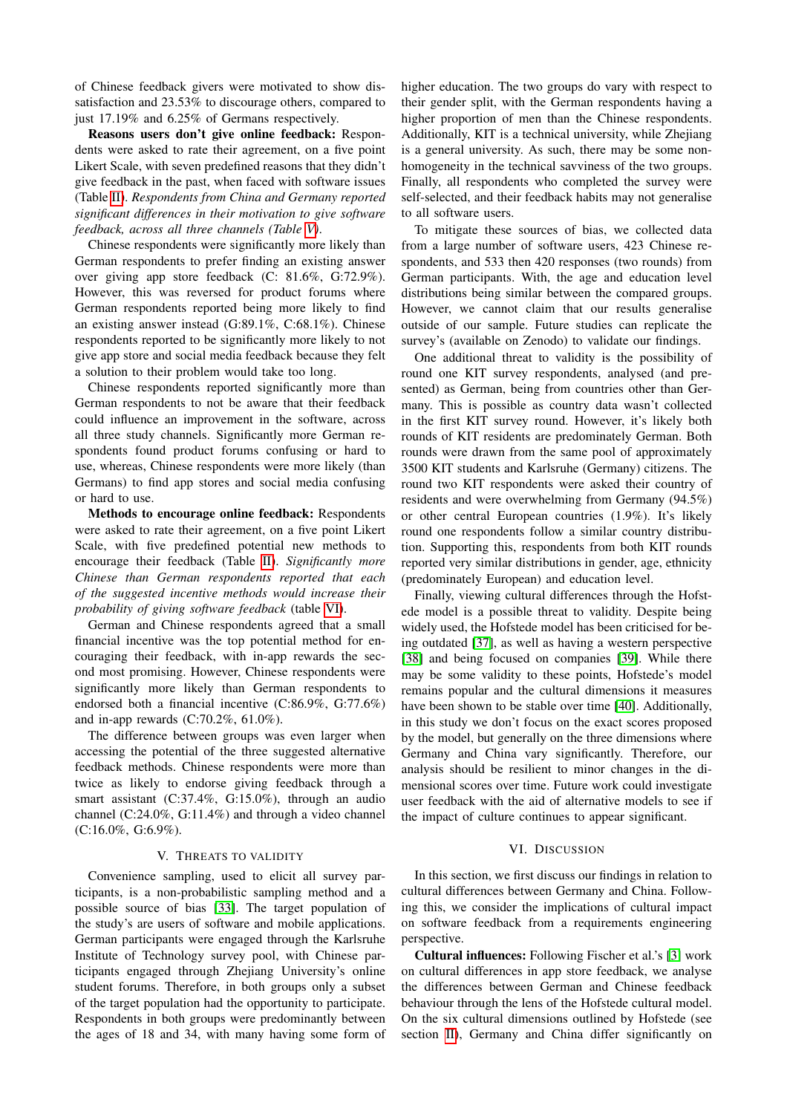of Chinese feedback givers were motivated to show dissatisfaction and 23.53% to discourage others, compared to just 17.19% and 6.25% of Germans respectively.

Reasons users don't give online feedback: Respondents were asked to rate their agreement, on a five point Likert Scale, with seven predefined reasons that they didn't give feedback in the past, when faced with software issues (Table II). *Respondents from China and Germany reported significant differences in their motivation to give software feedback, across all three channels (Table V)*.

Chinese respondents were significantly more likely than German respondents to prefer finding an existing answer over giving app store feedback (C: 81.6%, G:72.9%). However, this was reversed for product forums where German respondents reported being more likely to find an existing answer instead (G:89.1%, C:68.1%). Chinese respondents reported to be significantly more likely to not give app store and social media feedback because they felt a solution to their problem would take too long.

Chinese respondents reported significantly more than German respondents to not be aware that their feedback could influence an improvement in the software, across all three study channels. Significantly more German respondents found product forums confusing or hard to use, whereas, Chinese respondents were more likely (than Germans) to find app stores and social media confusing or hard to use.

Methods to encourage online feedback: Respondents were asked to rate their agreement, on a five point Likert Scale, with five predefined potential new methods to encourage their feedback (Table II). *Significantly more Chinese than German respondents reported that each of the suggested incentive methods would increase their probability of giving software feedback* (table  $\overline{VI}$ ).

German and Chinese respondents agreed that a small financial incentive was the top potential method for encouraging their feedback, with in-app rewards the second most promising. However, Chinese respondents were significantly more likely than German respondents to endorsed both a financial incentive (C:86.9%, G:77.6%) and in-app rewards (C:70.2%, 61.0%).

The difference between groups was even larger when accessing the potential of the three suggested alternative feedback methods. Chinese respondents were more than twice as likely to endorse giving feedback through a smart assistant (C:37.4%, G:15.0%), through an audio channel (C:24.0%, G:11.4%) and through a video channel (C:16.0%, G:6.9%).

# V. THREATS TO VALIDITY

Convenience sampling, used to elicit all survey participants, is a non-probabilistic sampling method and a possible source of bias [33]. The target population of the study's are users of software and mobile applications. German participants were engaged through the Karlsruhe Institute of Technology survey pool, with Chinese participants engaged through Zhejiang University's online student forums. Therefore, in both groups only a subset of the target population had the opportunity to participate. Respondents in both groups were predominantly between the ages of 18 and 34, with many having some form of

higher education. The two groups do vary with respect to their gender split, with the German respondents having a higher proportion of men than the Chinese respondents. Additionally, KIT is a technical university, while Zhejiang is a general university. As such, there may be some nonhomogeneity in the technical savviness of the two groups. Finally, all respondents who completed the survey were self-selected, and their feedback habits may not generalise to all software users.

To mitigate these sources of bias, we collected data from a large number of software users, 423 Chinese respondents, and 533 then 420 responses (two rounds) from German participants. With, the age and education level distributions being similar between the compared groups. However, we cannot claim that our results generalise outside of our sample. Future studies can replicate the survey's (available on Zenodo) to validate our findings.

One additional threat to validity is the possibility of round one KIT survey respondents, analysed (and presented) as German, being from countries other than Germany. This is possible as country data wasn't collected in the first KIT survey round. However, it's likely both rounds of KIT residents are predominately German. Both rounds were drawn from the same pool of approximately 3500 KIT students and Karlsruhe (Germany) citizens. The round two KIT respondents were asked their country of residents and were overwhelming from Germany (94.5%) or other central European countries (1.9%). It's likely round one respondents follow a similar country distribution. Supporting this, respondents from both KIT rounds reported very similar distributions in gender, age, ethnicity (predominately European) and education level.

Finally, viewing cultural differences through the Hofstede model is a possible threat to validity. Despite being widely used, the Hofstede model has been criticised for being outdated [37], as well as having a western perspective [38] and being focused on companies [39]. While there may be some validity to these points, Hofstede's model remains popular and the cultural dimensions it measures have been shown to be stable over time [40]. Additionally, in this study we don't focus on the exact scores proposed by the model, but generally on the three dimensions where Germany and China vary significantly. Therefore, our analysis should be resilient to minor changes in the dimensional scores over time. Future work could investigate user feedback with the aid of alternative models to see if the impact of culture continues to appear significant.

#### VI. DISCUSSION

In this section, we first discuss our findings in relation to cultural differences between Germany and China. Following this, we consider the implications of cultural impact on software feedback from a requirements engineering perspective.

Cultural influences: Following Fischer et al.'s [3] work on cultural differences in app store feedback, we analyse the differences between German and Chinese feedback behaviour through the lens of the Hofstede cultural model. On the six cultural dimensions outlined by Hofstede (see section  $\overline{III}$ , Germany and China differ significantly on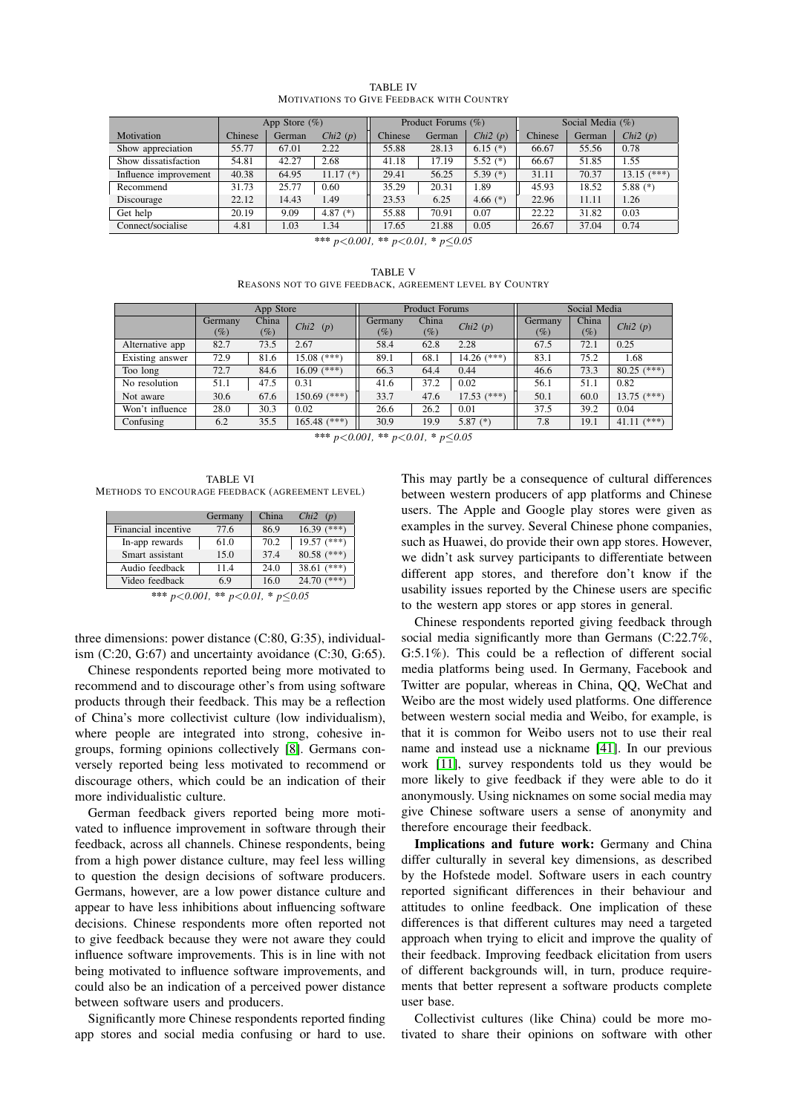|                       | App Store $(\%)$ |        |               | Product Forums $(\%)$ |        |            | Social Media $(\% )$ |        |               |
|-----------------------|------------------|--------|---------------|-----------------------|--------|------------|----------------------|--------|---------------|
| Motivation            | Chinese          | German | Chi $2(p)$    | Chinese               | German | Chi $2(p)$ | Chinese              | German | Chi2(p)       |
| Show appreciation     | 55.77            | 67.01  | 2.22          | 55.88                 | 28.13  | 6.15 $(*)$ | 66.67                | 55.56  | 0.78          |
| Show dissatisfaction  | 54.81            | 42.27  | 2.68          | 41.18                 | 17.19  | 5.52 $(*)$ | 66.67                | 51.85  | 1.55          |
| Influence improvement | 40.38            | 64.95  | $11.17$ $(*)$ | 29.41                 | 56.25  | 5.39 $(*)$ | 31.11                | 70.37  | $13.15$ (***) |
| Recommend             | 31.73            | 25.77  | 0.60          | 35.29                 | 20.31  | 1.89       | 45.93                | 18.52  | 5.88 $(*)$    |
| Discourage            | 22.12            | 14.43  | 1.49          | 23.53                 | 6.25   | 4.66 $(*)$ | 22.96                | 11.11  | 1.26          |
| Get help              | 20.19            | 9.09   | 4.87 $(*)$    | 55.88                 | 70.91  | 0.07       | 22.22                | 31.82  | 0.03          |
| Connect/socialise     | 4.81             | 1.03   | 1.34          | 17.65                 | 21.88  | 0.05       | 26.67                | 37.04  | 0.74          |

TABLE IV MOTIVATIONS TO GIVE FEEDBACK WITH COUNTRY

*\*\*\* p<0.001, \*\* p<0.01, \* p0.05*

TABLE V REASONS NOT TO GIVE FEEDBACK, AGREEMENT LEVEL BY COUNTRY

|                 | App Store |        | <b>Product Forums</b>  |          |        | Social Media  |         |        |                  |
|-----------------|-----------|--------|------------------------|----------|--------|---------------|---------|--------|------------------|
|                 | Germany   | China  | Chi <sub>2</sub> $(p)$ | Germany  | China  | Chi $2(p)$    | Germany | China  | Chi $2(p)$       |
|                 | $(\%)$    | $(\%)$ |                        | $( \% )$ | $(\%)$ |               | (%)     | $(\%)$ |                  |
| Alternative app | 82.7      | 73.5   | 2.67                   | 58.4     | 62.8   | 2.28          | 67.5    | 72.1   | 0.25             |
| Existing answer | 72.9      | 81.6   | $15.08$ $(***)$        | 89.1     | 68.1   | $14.26$ (***) | 83.1    | 75.2   | 1.68             |
| Too long        | 72.7      | 84.6   | $16.09$ (***)          | 66.3     | 64.4   | 0.44          | 46.6    | 73.3   | $80.25$ (***)    |
| No resolution   | 51.1      | 47.5   | 0.31                   | 41.6     | 37.2   | 0.02          | 56.1    | 51.1   | 0.82             |
| Not aware       | 30.6      | 67.6   | $150.69$ (***)         | 33.7     | 47.6   | $17.53$ (***) | 50.1    | 60.0   | $13.75$ (***)    |
| Won't influence | 28.0      | 30.3   | 0.02                   | 26.6     | 26.2   | 0.01          | 37.5    | 39.2   | 0.04             |
| Confusing       | 6.2       | 35.5   | $165.48$ (***)         | 30.9     | 19.9   | 5.87 $(*)$    | 7.8     | 19.1   | $(***)$<br>41.11 |

*<sup>\*\*\*</sup> p<0.001, \*\* p<0.01, \* p0.05*

TABLE VI METHODS TO ENCOURAGE FEEDBACK (AGREEMENT LEVEL)

|      |      | Chi2(p)         |
|------|------|-----------------|
| 77.6 | 86.9 | $16.39$ (***)   |
| 61.0 | 70.2 | $19.57$ $(***)$ |
| 15.0 | 374  | $80.58$ (***)   |
| 114  | 24.0 | $38.61$ (***)   |
| 69   | 16.0 | 24.70 $(***)$   |
|      |      |                 |

*\*\*\* p<0.001, \*\* p<0.01, \* p0.05*

three dimensions: power distance (C:80, G:35), individualism (C:20, G:67) and uncertainty avoidance (C:30, G:65).

Chinese respondents reported being more motivated to recommend and to discourage other's from using software products through their feedback. This may be a reflection of China's more collectivist culture (low individualism), where people are integrated into strong, cohesive ingroups, forming opinions collectively [8]. Germans conversely reported being less motivated to recommend or discourage others, which could be an indication of their more individualistic culture.

German feedback givers reported being more motivated to influence improvement in software through their feedback, across all channels. Chinese respondents, being from a high power distance culture, may feel less willing to question the design decisions of software producers. Germans, however, are a low power distance culture and appear to have less inhibitions about influencing software decisions. Chinese respondents more often reported not to give feedback because they were not aware they could influence software improvements. This is in line with not being motivated to influence software improvements, and could also be an indication of a perceived power distance between software users and producers.

Significantly more Chinese respondents reported finding app stores and social media confusing or hard to use.

This may partly be a consequence of cultural differences between western producers of app platforms and Chinese users. The Apple and Google play stores were given as examples in the survey. Several Chinese phone companies, such as Huawei, do provide their own app stores. However, we didn't ask survey participants to differentiate between different app stores, and therefore don't know if the usability issues reported by the Chinese users are specific to the western app stores or app stores in general.

Chinese respondents reported giving feedback through social media significantly more than Germans (C:22.7%, G:5.1%). This could be a reflection of different social media platforms being used. In Germany, Facebook and Twitter are popular, whereas in China, QQ, WeChat and Weibo are the most widely used platforms. One difference between western social media and Weibo, for example, is that it is common for Weibo users not to use their real name and instead use a nickname  $[41]$ . In our previous work  $[11]$ , survey respondents told us they would be more likely to give feedback if they were able to do it anonymously. Using nicknames on some social media may give Chinese software users a sense of anonymity and therefore encourage their feedback.

Implications and future work: Germany and China differ culturally in several key dimensions, as described by the Hofstede model. Software users in each country reported significant differences in their behaviour and attitudes to online feedback. One implication of these differences is that different cultures may need a targeted approach when trying to elicit and improve the quality of their feedback. Improving feedback elicitation from users of different backgrounds will, in turn, produce requirements that better represent a software products complete user base.

Collectivist cultures (like China) could be more motivated to share their opinions on software with other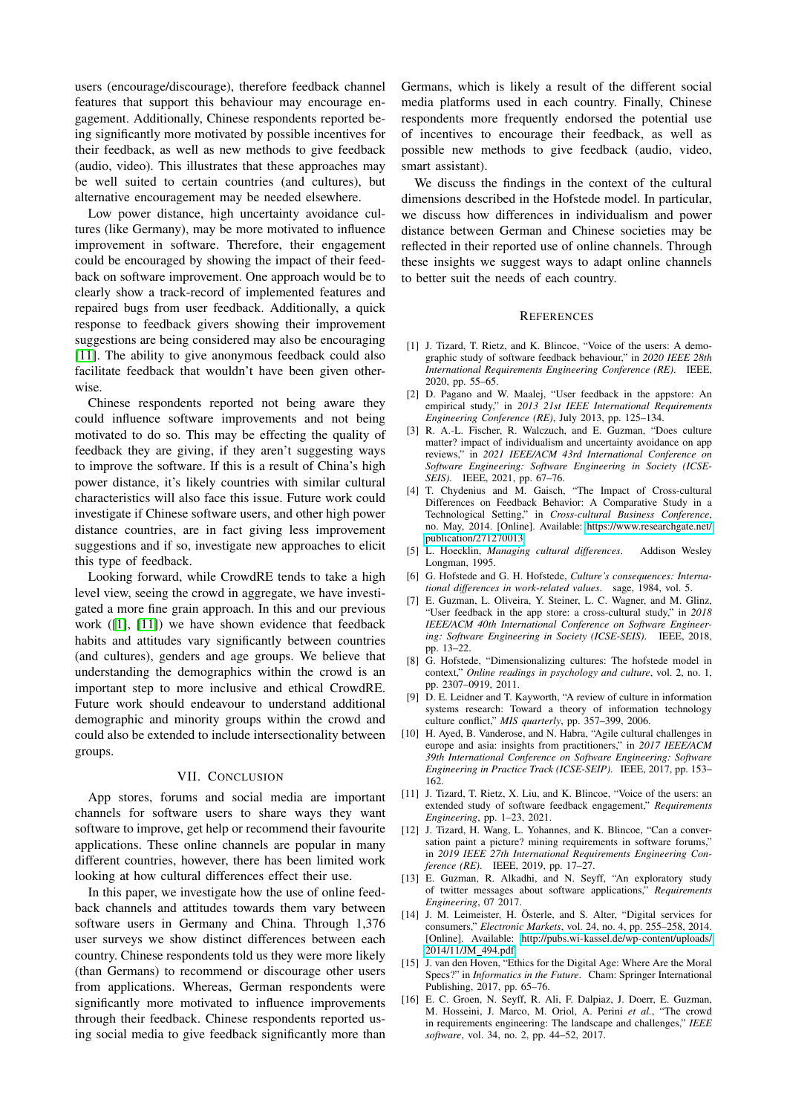users (encourage/discourage), therefore feedback channel features that support this behaviour may encourage engagement. Additionally, Chinese respondents reported being significantly more motivated by possible incentives for their feedback, as well as new methods to give feedback (audio, video). This illustrates that these approaches may be well suited to certain countries (and cultures), but alternative encouragement may be needed elsewhere.

Low power distance, high uncertainty avoidance cultures (like Germany), may be more motivated to influence improvement in software. Therefore, their engagement could be encouraged by showing the impact of their feedback on software improvement. One approach would be to clearly show a track-record of implemented features and repaired bugs from user feedback. Additionally, a quick response to feedback givers showing their improvement suggestions are being considered may also be encouraging [11]. The ability to give anonymous feedback could also facilitate feedback that wouldn't have been given otherwise.

Chinese respondents reported not being aware they could influence software improvements and not being motivated to do so. This may be effecting the quality of feedback they are giving, if they aren't suggesting ways to improve the software. If this is a result of China's high power distance, it's likely countries with similar cultural characteristics will also face this issue. Future work could investigate if Chinese software users, and other high power distance countries, are in fact giving less improvement suggestions and if so, investigate new approaches to elicit this type of feedback.

Looking forward, while CrowdRE tends to take a high level view, seeing the crowd in aggregate, we have investigated a more fine grain approach. In this and our previous work  $(\vert 1\rvert, \vert 11\rvert)$  we have shown evidence that feedback habits and attitudes vary significantly between countries (and cultures), genders and age groups. We believe that understanding the demographics within the crowd is an important step to more inclusive and ethical CrowdRE. Future work should endeavour to understand additional demographic and minority groups within the crowd and could also be extended to include intersectionality between groups.

### VII. CONCLUSION

App stores, forums and social media are important channels for software users to share ways they want software to improve, get help or recommend their favourite applications. These online channels are popular in many different countries, however, there has been limited work looking at how cultural differences effect their use.

In this paper, we investigate how the use of online feedback channels and attitudes towards them vary between software users in Germany and China. Through 1,376 user surveys we show distinct differences between each country. Chinese respondents told us they were more likely (than Germans) to recommend or discourage other users from applications. Whereas, German respondents were significantly more motivated to influence improvements through their feedback. Chinese respondents reported using social media to give feedback significantly more than

Germans, which is likely a result of the different social media platforms used in each country. Finally, Chinese respondents more frequently endorsed the potential use of incentives to encourage their feedback, as well as possible new methods to give feedback (audio, video, smart assistant).

We discuss the findings in the context of the cultural dimensions described in the Hofstede model. In particular, we discuss how differences in individualism and power distance between German and Chinese societies may be reflected in their reported use of online channels. Through these insights we suggest ways to adapt online channels to better suit the needs of each country.

#### **REFERENCES**

- [1] J. Tizard, T. Rietz, and K. Blincoe, "Voice of the users: A demographic study of software feedback behaviour," in *2020 IEEE 28th International Requirements Engineering Conference (RE)*. IEEE, 2020, pp. 55–65.
- [2] D. Pagano and W. Maalej, "User feedback in the appstore: An empirical study," in *2013 21st IEEE International Requirements Engineering Conference (RE)*, July 2013, pp. 125–134.
- [3] R. A.-L. Fischer, R. Walczuch, and E. Guzman, "Does culture matter? impact of individualism and uncertainty avoidance on app reviews," in *2021 IEEE/ACM 43rd International Conference on Software Engineering: Software Engineering in Society (ICSE-SEIS)*. IEEE, 2021, pp. 67–76.
- [4] T. Chydenius and M. Gaisch, "The Impact of Cross-cultural Differences on Feedback Behavior: A Comparative Study in a Technological Setting," in *Cross-cultural Business Conference*, no. May, 2014. [Online]. Available: https://www.researchgate.net/ publication/271270013
- [5] L. Hoecklin, *Managing cultural differences*. Addison Wesley Longman, 1995.
- [6] G. Hofstede and G. H. Hofstede, *Culture's consequences: International differences in work-related values*. sage, 1984, vol. 5.
- [7] E. Guzman, L. Oliveira, Y. Steiner, L. C. Wagner, and M. Glinz, "User feedback in the app store: a cross-cultural study," in *2018 IEEE/ACM 40th International Conference on Software Engineering: Software Engineering in Society (ICSE-SEIS)*. IEEE, 2018, pp. 13–22.
- [8] G. Hofstede, "Dimensionalizing cultures: The hofstede model in context," *Online readings in psychology and culture*, vol. 2, no. 1, pp. 2307–0919, 2011.
- [9] D. E. Leidner and T. Kayworth, "A review of culture in information systems research: Toward a theory of information technology culture conflict," *MIS quarterly*, pp. 357–399, 2006.
- [10] H. Ayed, B. Vanderose, and N. Habra, "Agile cultural challenges in europe and asia: insights from practitioners," in *2017 IEEE/ACM 39th International Conference on Software Engineering: Software Engineering in Practice Track (ICSE-SEIP)*. IEEE, 2017, pp. 153– 162.
- [11] J. Tizard, T. Rietz, X. Liu, and K. Blincoe, "Voice of the users: an extended study of software feedback engagement," *Requirements Engineering*, pp. 1–23, 2021.
- [12] J. Tizard, H. Wang, L. Yohannes, and K. Blincoe, "Can a conversation paint a picture? mining requirements in software forums," in *2019 IEEE 27th International Requirements Engineering Conference (RE).* IEEE, 2019, pp. 17–27.
- [13] E. Guzman, R. Alkadhi, and N. Seyff, "An exploratory study of twitter messages about software applications," *Requirements Engineering*, 07 2017.
- [14] J. M. Leimeister, H. Österle, and S. Alter, "Digital services for consumers," *Electronic Markets*, vol. 24, no. 4, pp. 255–258, 2014. [Online]. Available: http://pubs.wi-kassel.de/wp-content/uploads/ 2014/11/JM 494.pdf
- [15] J. van den Hoven, "Ethics for the Digital Age: Where Are the Moral Specs?" in *Informatics in the Future*. Cham: Springer International Publishing, 2017, pp. 65–76.
- [16] E. C. Groen, N. Seyff, R. Ali, F. Dalpiaz, J. Doerr, E. Guzman, M. Hosseini, J. Marco, M. Oriol, A. Perini *et al.*, "The crowd in requirements engineering: The landscape and challenges," *IEEE software*, vol. 34, no. 2, pp. 44–52, 2017.